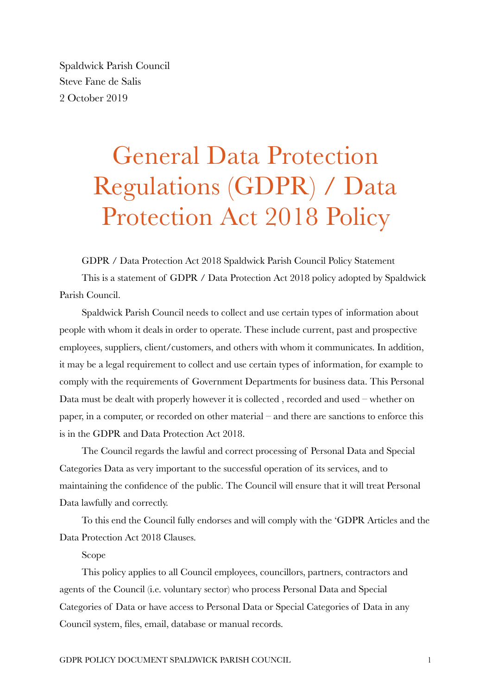Spaldwick Parish Council Steve Fane de Salis 2 October 2019

## General Data Protection Regulations (GDPR) / Data Protection Act 2018 Policy

GDPR / Data Protection Act 2018 Spaldwick Parish Council Policy Statement This is a statement of GDPR / Data Protection Act 2018 policy adopted by Spaldwick Parish Council.

Spaldwick Parish Council needs to collect and use certain types of information about people with whom it deals in order to operate. These include current, past and prospective employees, suppliers, client/customers, and others with whom it communicates. In addition, it may be a legal requirement to collect and use certain types of information, for example to comply with the requirements of Government Departments for business data. This Personal Data must be dealt with properly however it is collected , recorded and used – whether on paper, in a computer, or recorded on other material – and there are sanctions to enforce this is in the GDPR and Data Protection Act 2018.

The Council regards the lawful and correct processing of Personal Data and Special Categories Data as very important to the successful operation of its services, and to maintaining the confidence of the public. The Council will ensure that it will treat Personal Data lawfully and correctly.

To this end the Council fully endorses and will comply with the 'GDPR Articles and the Data Protection Act 2018 Clauses.

## Scope

This policy applies to all Council employees, councillors, partners, contractors and agents of the Council (i.e. voluntary sector) who process Personal Data and Special Categories of Data or have access to Personal Data or Special Categories of Data in any Council system, files, email, database or manual records.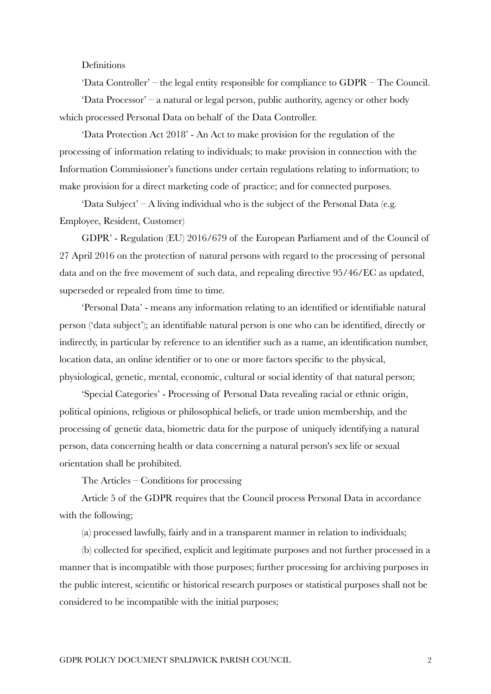## Definitions

'Data Controller' – the legal entity responsible for compliance to GDPR – The Council. 'Data Processor' – a natural or legal person, public authority, agency or other body which processed Personal Data on behalf of the Data Controller.

'Data Protection Act 2018' - An Act to make provision for the regulation of the processing of information relating to individuals; to make provision in connection with the Information Commissioner's functions under certain regulations relating to information; to make provision for a direct marketing code of practice; and for connected purposes.

'Data Subject' – A living individual who is the subject of the Personal Data (e.g. Employee, Resident, Customer)

GDPR' - Regulation (EU) 2016/679 of the European Parliament and of the Council of 27 April 2016 on the protection of natural persons with regard to the processing of personal data and on the free movement of such data, and repealing directive 95/46/EC as updated, superseded or repealed from time to time.

'Personal Data' - means any information relating to an identified or identifiable natural person ('data subject'); an identifiable natural person is one who can be identified, directly or indirectly, in particular by reference to an identifier such as a name, an identification number, location data, an online identifier or to one or more factors specific to the physical, physiological, genetic, mental, economic, cultural or social identity of that natural person;

'Special Categories' - Processing of Personal Data revealing racial or ethnic origin, political opinions, religious or philosophical beliefs, or trade union membership, and the processing of genetic data, biometric data for the purpose of uniquely identifying a natural person, data concerning health or data concerning a natural person's sex life or sexual orientation shall be prohibited.

The Articles – Conditions for processing

Article 5 of the GDPR requires that the Council process Personal Data in accordance with the following;

(a) processed lawfully, fairly and in a transparent manner in relation to individuals;

(b) collected for specified, explicit and legitimate purposes and not further processed in a manner that is incompatible with those purposes; further processing for archiving purposes in the public interest, scientific or historical research purposes or statistical purposes shall not be considered to be incompatible with the initial purposes;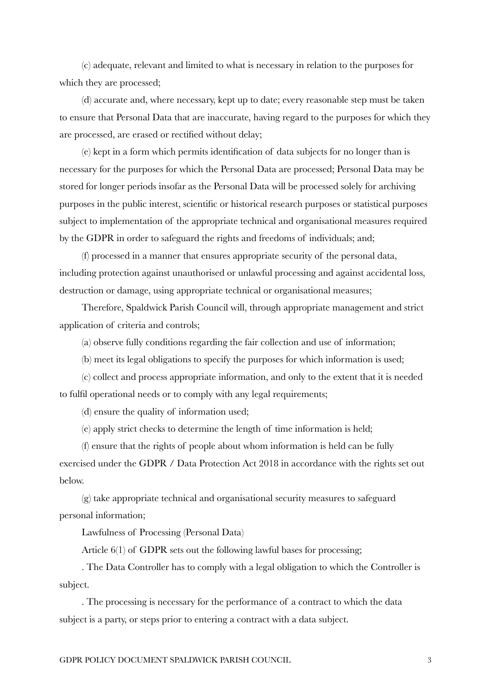(c) adequate, relevant and limited to what is necessary in relation to the purposes for which they are processed;

(d) accurate and, where necessary, kept up to date; every reasonable step must be taken to ensure that Personal Data that are inaccurate, having regard to the purposes for which they are processed, are erased or rectified without delay;

(e) kept in a form which permits identification of data subjects for no longer than is necessary for the purposes for which the Personal Data are processed; Personal Data may be stored for longer periods insofar as the Personal Data will be processed solely for archiving purposes in the public interest, scientific or historical research purposes or statistical purposes subject to implementation of the appropriate technical and organisational measures required by the GDPR in order to safeguard the rights and freedoms of individuals; and;

(f) processed in a manner that ensures appropriate security of the personal data, including protection against unauthorised or unlawful processing and against accidental loss, destruction or damage, using appropriate technical or organisational measures;

Therefore, Spaldwick Parish Council will, through appropriate management and strict application of criteria and controls;

(a) observe fully conditions regarding the fair collection and use of information;

(b) meet its legal obligations to specify the purposes for which information is used;

(c) collect and process appropriate information, and only to the extent that it is needed to fulfil operational needs or to comply with any legal requirements;

(d) ensure the quality of information used;

(e) apply strict checks to determine the length of time information is held;

(f) ensure that the rights of people about whom information is held can be fully exercised under the GDPR / Data Protection Act 2018 in accordance with the rights set out below.

(g) take appropriate technical and organisational security measures to safeguard personal information;

Lawfulness of Processing (Personal Data)

Article 6(1) of GDPR sets out the following lawful bases for processing;

. The Data Controller has to comply with a legal obligation to which the Controller is subject.

. The processing is necessary for the performance of a contract to which the data subject is a party, or steps prior to entering a contract with a data subject.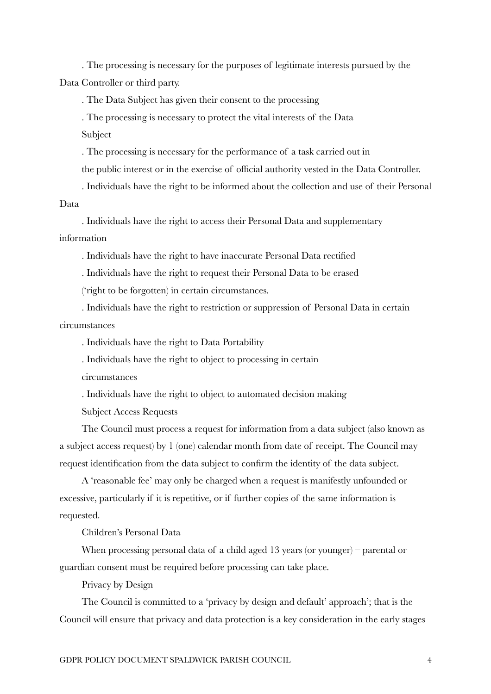. The processing is necessary for the purposes of legitimate interests pursued by the Data Controller or third party.

. The Data Subject has given their consent to the processing

. The processing is necessary to protect the vital interests of the Data

Subject

. The processing is necessary for the performance of a task carried out in

the public interest or in the exercise of official authority vested in the Data Controller.

. Individuals have the right to be informed about the collection and use of their Personal Data

. Individuals have the right to access their Personal Data and supplementary information

. Individuals have the right to have inaccurate Personal Data rectified

. Individuals have the right to request their Personal Data to be erased

('right to be forgotten) in certain circumstances.

. Individuals have the right to restriction or suppression of Personal Data in certain circumstances

. Individuals have the right to Data Portability

. Individuals have the right to object to processing in certain

circumstances

. Individuals have the right to object to automated decision making

Subject Access Requests

The Council must process a request for information from a data subject (also known as a subject access request) by 1 (one) calendar month from date of receipt. The Council may request identification from the data subject to confirm the identity of the data subject.

A 'reasonable fee' may only be charged when a request is manifestly unfounded or excessive, particularly if it is repetitive, or if further copies of the same information is requested.

Children's Personal Data

When processing personal data of a child aged 13 years (or younger) – parental or guardian consent must be required before processing can take place.

Privacy by Design

The Council is committed to a 'privacy by design and default' approach'; that is the Council will ensure that privacy and data protection is a key consideration in the early stages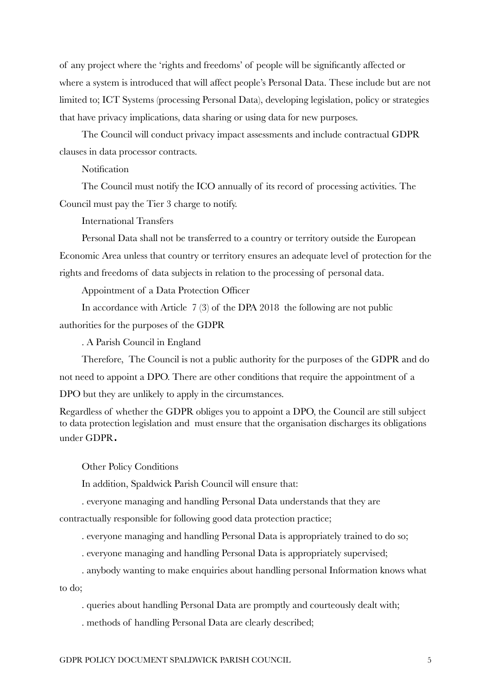of any project where the 'rights and freedoms' of people will be significantly affected or where a system is introduced that will affect people's Personal Data. These include but are not limited to; ICT Systems (processing Personal Data), developing legislation, policy or strategies that have privacy implications, data sharing or using data for new purposes.

The Council will conduct privacy impact assessments and include contractual GDPR clauses in data processor contracts.

**Notification** 

The Council must notify the ICO annually of its record of processing activities. The Council must pay the Tier 3 charge to notify.

International Transfers

Personal Data shall not be transferred to a country or territory outside the European Economic Area unless that country or territory ensures an adequate level of protection for the rights and freedoms of data subjects in relation to the processing of personal data.

Appointment of a Data Protection Officer

In accordance with Article 7 (3) of the DPA 2018 the following are not public authorities for the purposes of the GDPR

. A Parish Council in England

Therefore, The Council is not a public authority for the purposes of the GDPR and do not need to appoint a DPO. There are other conditions that require the appointment of a DPO but they are unlikely to apply in the circumstances.

Regardless of whether the GDPR obliges you to appoint a DPO, the Council are still subject to data protection legislation and must ensure that the organisation discharges its obligations under GDPR.

Other Policy Conditions

In addition, Spaldwick Parish Council will ensure that:

. everyone managing and handling Personal Data understands that they are contractually responsible for following good data protection practice;

. everyone managing and handling Personal Data is appropriately trained to do so;

. everyone managing and handling Personal Data is appropriately supervised;

. anybody wanting to make enquiries about handling personal Information knows what to do;

. queries about handling Personal Data are promptly and courteously dealt with;

. methods of handling Personal Data are clearly described;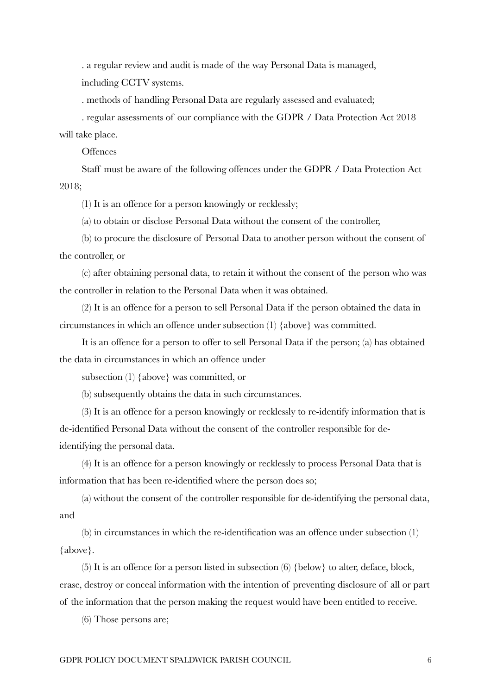. a regular review and audit is made of the way Personal Data is managed, including CCTV systems.

. methods of handling Personal Data are regularly assessed and evaluated;

. regular assessments of our compliance with the GDPR / Data Protection Act 2018 will take place.

**Offences** 

Staff must be aware of the following offences under the GDPR / Data Protection Act 2018;

(1) It is an offence for a person knowingly or recklessly;

(a) to obtain or disclose Personal Data without the consent of the controller,

(b) to procure the disclosure of Personal Data to another person without the consent of the controller, or

(c) after obtaining personal data, to retain it without the consent of the person who was the controller in relation to the Personal Data when it was obtained.

(2) It is an offence for a person to sell Personal Data if the person obtained the data in circumstances in which an offence under subsection (1) {above} was committed.

It is an offence for a person to offer to sell Personal Data if the person; (a) has obtained the data in circumstances in which an offence under

subsection (1) {above} was committed, or

(b) subsequently obtains the data in such circumstances.

(3) It is an offence for a person knowingly or recklessly to re-identify information that is de-identified Personal Data without the consent of the controller responsible for deidentifying the personal data.

(4) It is an offence for a person knowingly or recklessly to process Personal Data that is information that has been re-identified where the person does so;

(a) without the consent of the controller responsible for de-identifying the personal data, and

(b) in circumstances in which the re-identification was an offence under subsection (1) {above}.

(5) It is an offence for a person listed in subsection (6) {below} to alter, deface, block, erase, destroy or conceal information with the intention of preventing disclosure of all or part of the information that the person making the request would have been entitled to receive.

(6) Those persons are;